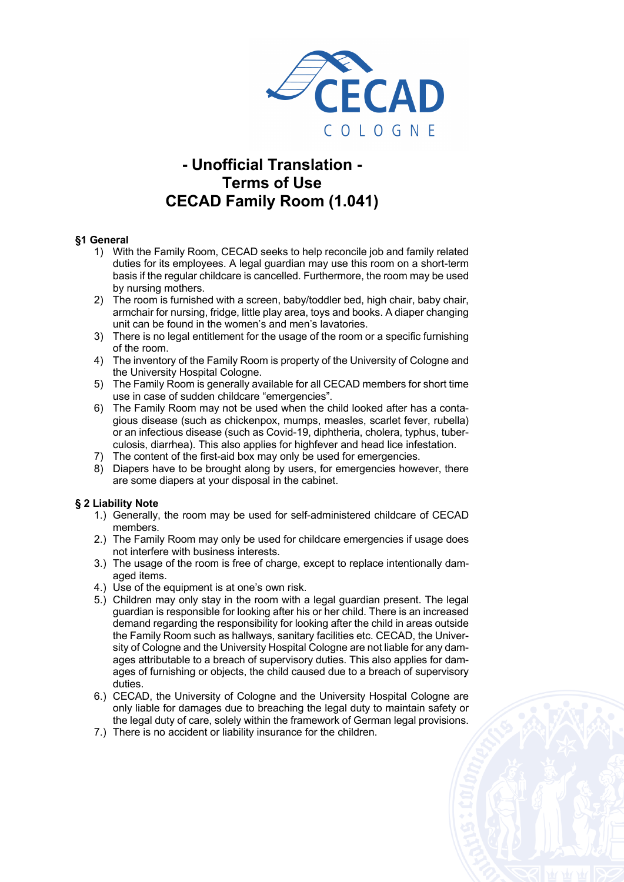

# **- Unofficial Translation - Terms of Use CECAD Family Room (1.041)**

# **§1 General**

- 1) With the Family Room, CECAD seeks to help reconcile job and family related duties for its employees. A legal guardian may use this room on a short-term basis if the regular childcare is cancelled. Furthermore, the room may be used by nursing mothers.
- 2) The room is furnished with a screen, baby/toddler bed, high chair, baby chair, armchair for nursing, fridge, little play area, toys and books. A diaper changing unit can be found in the women's and men's lavatories.
- 3) There is no legal entitlement for the usage of the room or a specific furnishing of the room.
- 4) The inventory of the Family Room is property of the University of Cologne and the University Hospital Cologne.
- 5) The Family Room is generally available for all CECAD members for short time use in case of sudden childcare "emergencies".
- 6) The Family Room may not be used when the child looked after has a contagious disease (such as chickenpox, mumps, measles, scarlet fever, rubella) or an infectious disease (such as Covid-19, diphtheria, cholera, typhus, tuberculosis, diarrhea). This also applies for highfever and head lice infestation.
- 7) The content of the first-aid box may only be used for emergencies.
- 8) Diapers have to be brought along by users, for emergencies however, there are some diapers at your disposal in the cabinet.

### **§ 2 Liability Note**

- 1.) Generally, the room may be used for self-administered childcare of CECAD members.
- 2.) The Family Room may only be used for childcare emergencies if usage does not interfere with business interests.
- 3.) The usage of the room is free of charge, except to replace intentionally damaged items.
- 4.) Use of the equipment is at one's own risk.
- 5.) Children may only stay in the room with a legal guardian present. The legal guardian is responsible for looking after his or her child. There is an increased demand regarding the responsibility for looking after the child in areas outside the Family Room such as hallways, sanitary facilities etc. CECAD, the University of Cologne and the University Hospital Cologne are not liable for any damages attributable to a breach of supervisory duties. This also applies for damages of furnishing or objects, the child caused due to a breach of supervisory duties.
- 6.) CECAD, the University of Cologne and the University Hospital Cologne are only liable for damages due to breaching the legal duty to maintain safety or the legal duty of care, solely within the framework of German legal provisions.
- 7.) There is no accident or liability insurance for the children.